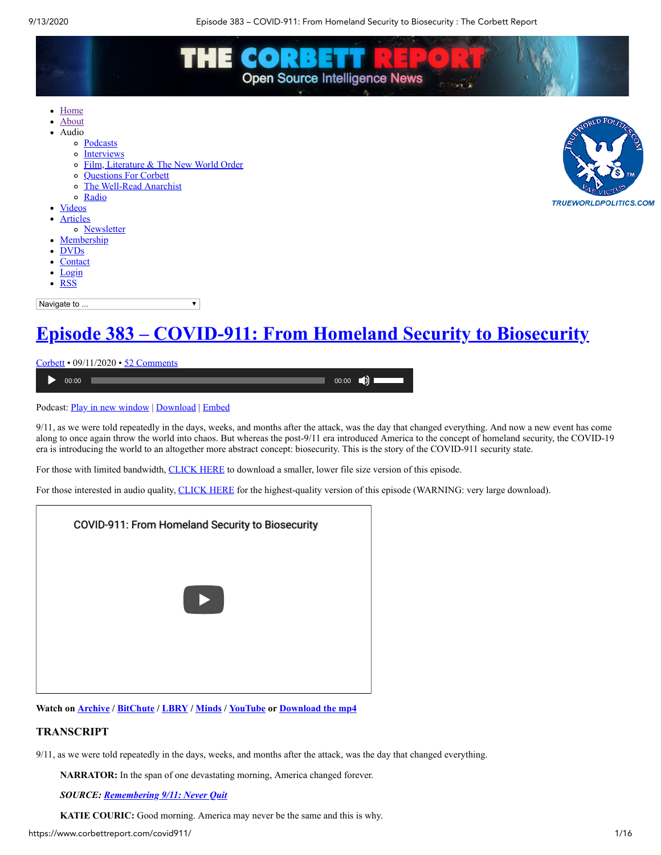

 $00:00$  00:00  $\bigcirc$  00:00  $\bigcirc$  00:00  $\bigcirc$  00:00  $\bigcirc$  00:00  $\bigcirc$ ▶

#### Podcast: [Play in new window](http://www.corbettreport.com/mp3/episode383_covid911.mp3) | [Download](http://www.corbettreport.com/mp3/episode383_covid911.mp3) | Embed

9/11, as we were told repeatedly in the days, weeks, and months after the attack, was the day that changed everything. And now a new event has come along to once again throw the world into chaos. But whereas the post-9/11 era introduced America to the concept of homeland security, the COVID-19 era is introducing the world to an altogether more abstract concept: biosecurity. This is the story of the COVID-911 security state.

For those with limited bandwidth, [CLICK HERE](http://www.corbettreport.com/mp3/episode383-lq.mp3) to download a smaller, lower file size version of this episode.

For those interested in audio quality, [CLICK HERE](http://www.corbettreport.com/mp3/episode383-hq.mp3) for the highest-quality version of this episode (WARNING: very large download).

| COVID-911: From Homeland Security to Biosecurity |  |
|--------------------------------------------------|--|
| $\blacktriangleright$                            |  |

**Watch on [Archive](https://archive.org/details/ep383-covid911) / [BitChute](https://www.bitchute.com/video/opAyJt94Kmo) / [LBRY](https://lbry.tv/@corbettreport:0/covid911:4) / [Minds](https://www.minds.com/newsfeed/1151202810591223808) / [YouTube](https://youtu.be/opAyJt94Kmo) or [Download the mp4](https://www.corbettreport.com/mp4/ep383-covid911.mp4)**

# **TRANSCRIPT**

9/11, as we were told repeatedly in the days, weeks, and months after the attack, was the day that changed everything.

**NARRATOR:** In the span of one devastating morning, America changed forever.

## *SOURCE: [Remembering 9/11: Never Quit](https://www.youtube.com/watch?v=-kxbwu3vkLg)*

**KATIE COURIC:** Good morning. America may never be the same and this is why.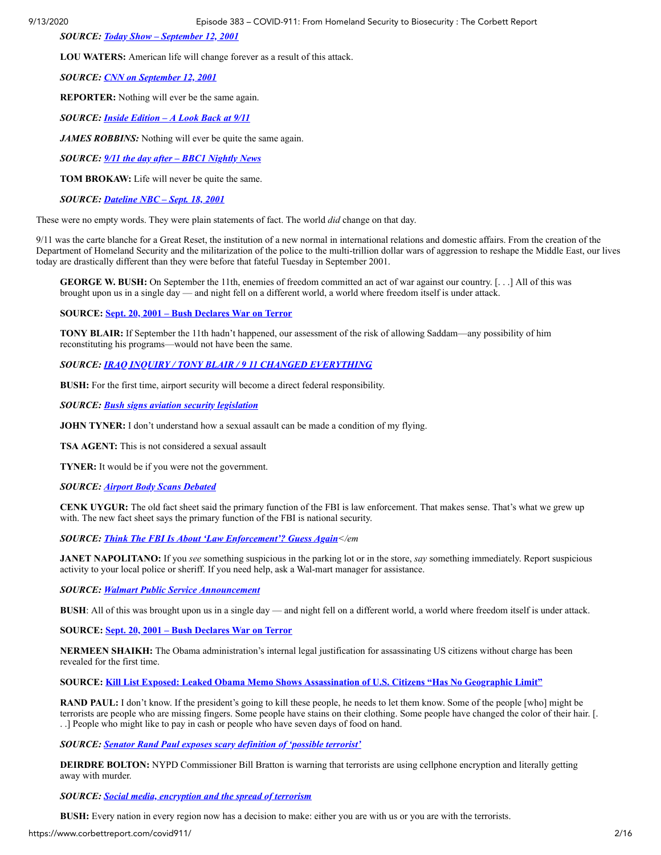*SOURCE: [Today Show – September 12, 2001](https://www.youtube.com/watch?v=6158sdfRaB8)*

**LOU WATERS:** American life will change forever as a result of this attack.

*SOURCE: [CNN on September 12, 2001](https://www.youtube.com/watch?v=6Z22BM41hwo)*

**REPORTER:** Nothing will ever be the same again.

*SOURCE: [Inside Edition – A Look Back at 9/11](https://www.youtube.com/watch?v=mHjH1sl1o9s&t=2s)*

*JAMES ROBBINS:* Nothing will ever be quite the same again.

*SOURCE: [9/11 the day after – BBC1 Nightly News](https://www.youtube.com/watch?v=XocX6peVkwo)*

**TOM BROKAW:** Life will never be quite the same.

*SOURCE: [Dateline NBC – Sept. 18, 2001](https://www.youtube.com/watch?v=Ebf0TVQ14EI)*

These were no empty words. They were plain statements of fact. The world *did* change on that day.

9/11 was the carte blanche for a Great Reset, the institution of a new normal in international relations and domestic affairs. From the creation of the Department of Homeland Security and the militarization of the police to the multi-trillion dollar wars of aggression to reshape the Middle East, our lives today are drastically different than they were before that fateful Tuesday in September 2001.

**GEORGE W. BUSH:** On September the 11th, enemies of freedom committed an act of war against our country. [. . .] All of this was brought upon us in a single day — and night fell on a different world, a world where freedom itself is under attack.

**SOURCE: [Sept. 20, 2001 – Bush Declares War on Terror](https://www.youtube.com/watch?v=_CSPbzitPL8)**

**TONY BLAIR:** If September the 11th hadn't happened, our assessment of the risk of allowing Saddam—any possibility of him reconstituting his programs—would not have been the same.

*SOURCE: [IRAQ INQUIRY / TONY BLAIR / 9 11 CHANGED EVERYTHING](https://www.youtube.com/watch?v=B0lp17hPB1Y)*

**BUSH:** For the first time, airport security will become a direct federal responsibility.

*SOURCE: [Bush signs aviation security legislation](https://www.youtube.com/watch?v=EroUqm5hvZg)*

**JOHN TYNER:** I don't understand how a sexual assault can be made a condition of my flying.

**TSA AGENT:** This is not considered a sexual assault

**TYNER:** It would be if you were not the government.

*SOURCE: [Airport Body Scans Debated](https://www.youtube.com/watch?v=dicZgQ-QihU)*

**CENK UYGUR:** The old fact sheet said the primary function of the FBI is law enforcement. That makes sense. That's what we grew up with. The new fact sheet says the primary function of the FBI is national security.

*SOURCE: [Think The FBI Is About 'Law Enforcement'? Guess Again](https://www.youtube.com/watch?v=WDLFmNqm_4M)</em*

**JANET NAPOLITANO:** If you *see* something suspicious in the parking lot or in the store, *say* something immediately. Report suspicious activity to your local police or sheriff. If you need help, ask a Wal-mart manager for assistance.

*SOURCE: [Walmart Public Service Announcement](https://www.youtube.com/watch?v=Czoww2l1xdw)*

**BUSH**: All of this was brought upon us in a single day — and night fell on a different world, a world where freedom itself is under attack.

**SOURCE: [Sept. 20, 2001 – Bush Declares War on Terror](https://www.youtube.com/watch?v=_CSPbzitPL8)**

**NERMEEN SHAIKH:** The Obama administration's internal legal justification for assassinating US citizens without charge has been revealed for the first time.

**SOURCE: [Kill List Exposed: Leaked Obama Memo Shows Assassination of U.S. Citizens "Has No Geographic Limit"](https://www.youtube.com/watch?v=zwNsXC6OWKE)**

**RAND PAUL:** I don't know. If the president's going to kill these people, he needs to let them know. Some of the people [who] might be terrorists are people who are missing fingers. Some people have stains on their clothing. Some people have changed the color of their hair. [. . .] People who might like to pay in cash or people who have seven days of food on hand.

#### *SOURCE: [Senator Rand Paul exposes scary definition of 'possible terrorist'](https://www.youtube.com/watch?v=muuz-lZzEIo)*

**DEIRDRE BOLTON:** NYPD Commissioner Bill Bratton is warning that terrorists are using cellphone encryption and literally getting away with murder.

# *SOURCE: [Social media, encryption and the spread of terrorism](https://www.youtube.com/watch?v=lupH0ivSe9M)*

**BUSH:** Every nation in every region now has a decision to make: either you are with us or you are with the terrorists.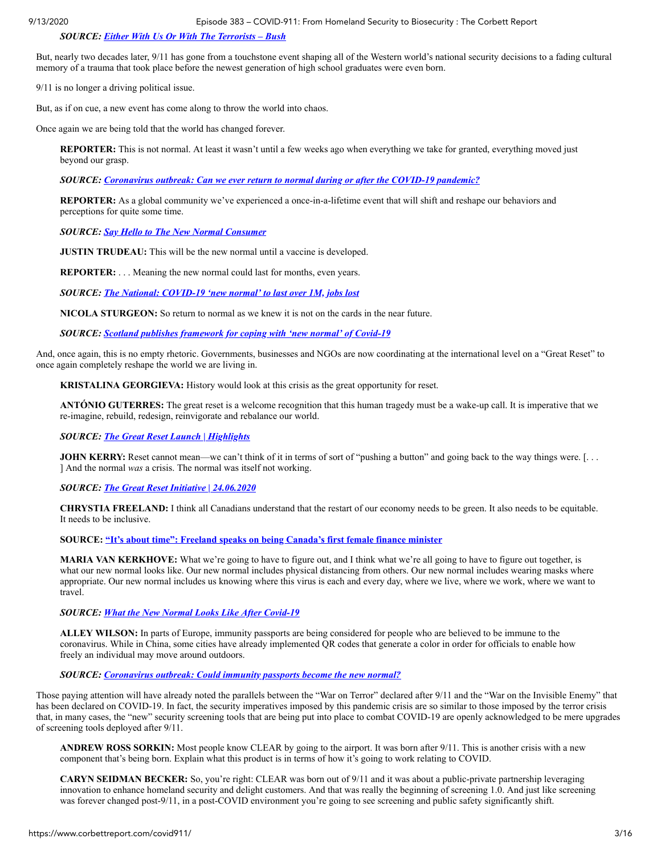# *SOURCE: [Either With Us Or With The Terrorists – Bush](https://www.youtube.com/watch?v=-qdvm6h8WKg)*

But, nearly two decades later, 9/11 has gone from a touchstone event shaping all of the Western world's national security decisions to a fading cultural memory of a trauma that took place before the newest generation of high school graduates were even born.

9/11 is no longer a driving political issue.

But, as if on cue, a new event has come along to throw the world into chaos.

Once again we are being told that the world has changed forever.

**REPORTER:** This is not normal. At least it wasn't until a few weeks ago when everything we take for granted, everything moved just beyond our grasp.

*SOURCE: [Coronavirus outbreak: Can we ever return to normal during or after the COVID-19 pandemic?](https://www.youtube.com/watch?v=o6xWvJjKBDM)*

**REPORTER:** As a global community we've experienced a once-in-a-lifetime event that will shift and reshape our behaviors and perceptions for quite some time.

*SOURCE: [Say Hello to The New Normal Consumer](https://www.youtube.com/watch?v=ZnD22DGl1mQ)*

**JUSTIN TRUDEAU:** This will be the new normal until a vaccine is developed.

**REPORTER:** . . . Meaning the new normal could last for months, even years.

*SOURCE: [The National: COVID-19 'new normal' to last over 1M, jobs lost](https://www.youtube.com/watch?v=SCU7mzYxwQk)*

**NICOLA STURGEON:** So return to normal as we knew it is not on the cards in the near future.

*SOURCE: [Scotland publishes framework for coping with 'new normal' of Covid-19](https://www.youtube.com/watch?v=FKcS4PNAko0)*

And, once again, this is no empty rhetoric. Governments, businesses and NGOs are now coordinating at the international level on a "Great Reset" to once again completely reshape the world we are living in.

**KRISTALINA GEORGIEVA:** History would look at this crisis as the great opportunity for reset.

**ANTÓNIO GUTERRES:** The great reset is a welcome recognition that this human tragedy must be a wake-up call. It is imperative that we re-imagine, rebuild, redesign, reinvigorate and rebalance our world.

### *SOURCE: [The Great Reset Launch | Highlights](https://www.youtube.com/watch?v=u5pxhSnDr4U)*

**JOHN KERRY:** Reset cannot mean—we can't think of it in terms of sort of "pushing a button" and going back to the way things were. [... ] And the normal *was* a crisis. The normal was itself not working.

*SOURCE: [The Great Reset Initiative | 24.06.2020](https://www.youtube.com/watch?v=-h49aH8RzV8)*

**CHRYSTIA FREELAND:** I think all Canadians understand that the restart of our economy needs to be green. It also needs to be equitable. It needs to be inclusive.

**SOURCE: ["It's about time": Freeland speaks on being Canada's first female finance minister](https://www.youtube.com/watch?v=RUbnsuwnVHg)**

**MARIA VAN KERKHOVE:** What we're going to have to figure out, and I think what we're all going to have to figure out together, is what our new normal looks like. Our new normal includes physical distancing from others. Our new normal includes wearing masks where appropriate. Our new normal includes us knowing where this virus is each and every day, where we live, where we work, where we want to travel.

*SOURCE: [What the New Normal Looks Like After Covid-19](https://www.youtube.com/watch?v=7CB85HVb5o4)*

**ALLEY WILSON:** In parts of Europe, immunity passports are being considered for people who are believed to be immune to the coronavirus. While in China, some cities have already implemented QR codes that generate a color in order for officials to enable how freely an individual may move around outdoors.

*SOURCE: [Coronavirus outbreak: Could immunity passports become the new normal?](https://www.youtube.com/watch?v=PrMm6TEHNtY)*

Those paying attention will have already noted the parallels between the "War on Terror" declared after 9/11 and the "War on the Invisible Enemy" that has been declared on COVID-19. In fact, the security imperatives imposed by this pandemic crisis are so similar to those imposed by the terror crisis that, in many cases, the "new" security screening tools that are being put into place to combat COVID-19 are openly acknowledged to be mere upgrades of screening tools deployed after 9/11.

**ANDREW ROSS SORKIN:** Most people know CLEAR by going to the airport. It was born after 9/11. This is another crisis with a new component that's being born. Explain what this product is in terms of how it's going to work relating to COVID.

**CARYN SEIDMAN BECKER:** So, you're right: CLEAR was born out of 9/11 and it was about a public-private partnership leveraging innovation to enhance homeland security and delight customers. And that was really the beginning of screening 1.0. And just like screening was forever changed post-9/11, in a post-COVID environment you're going to see screening and public safety significantly shift.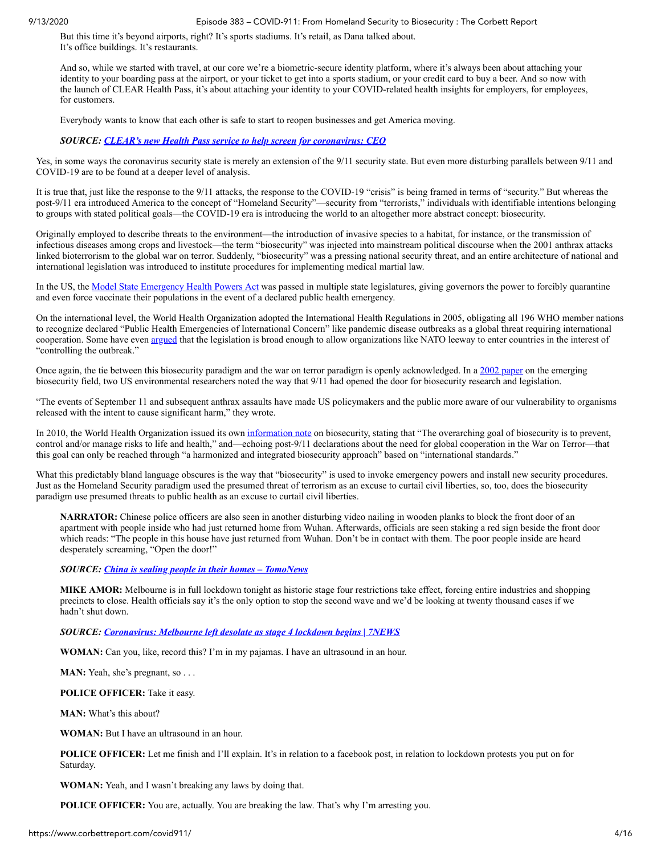But this time it's beyond airports, right? It's sports stadiums. It's retail, as Dana talked about. It's office buildings. It's restaurants.

And so, while we started with travel, at our core we're a biometric-secure identity platform, where it's always been about attaching your identity to your boarding pass at the airport, or your ticket to get into a sports stadium, or your credit card to buy a beer. And so now with the launch of CLEAR Health Pass, it's about attaching your identity to your COVID-related health insights for employers, for employees, for customers.

Everybody wants to know that each other is safe to start to reopen businesses and get America moving.

*SOURCE: [CLEAR's new Health Pass service to help screen for coronavirus: CEO](https://www.youtube.com/watch?v=Fw6QIQBW9ew)*

Yes, in some ways the coronavirus security state is merely an extension of the 9/11 security state. But even more disturbing parallels between 9/11 and COVID-19 are to be found at a deeper level of analysis.

It is true that, just like the response to the 9/11 attacks, the response to the COVID-19 "crisis" is being framed in terms of "security." But whereas the post-9/11 era introduced America to the concept of "Homeland Security"—security from "terrorists," individuals with identifiable intentions belonging to groups with stated political goals—the COVID-19 era is introducing the world to an altogether more abstract concept: biosecurity.

Originally employed to describe threats to the environment—the introduction of invasive species to a habitat, for instance, or the transmission of infectious diseases among crops and livestock—the term "biosecurity" was injected into mainstream political discourse when the 2001 anthrax attacks linked bioterrorism to the global war on terror. Suddenly, "biosecurity" was a pressing national security threat, and an entire architecture of national and international legislation was introduced to institute procedures for implementing medical martial law.

In the US, the [Model State Emergency Health Powers Act](https://www.aclu.org/other/model-state-emergency-health-powers-act) was passed in multiple state legislatures, giving governors the power to forcibly quarantine and even force vaccinate their populations in the event of a declared public health emergency.

On the international level, the World Health Organization adopted the International Health Regulations in 2005, obligating all 196 WHO member nations to recognize declared "Public Health Emergencies of International Concern" like pandemic disease outbreaks as a global threat requiring international cooperation. Some have even [argued](https://www.newsweek.com/what-happens-if-who-declares-ebola-emergency-international-concern-263434) that the legislation is broad enough to allow organizations like NATO leeway to enter countries in the interest of "controlling the outbreak."

Once again, the tie between this biosecurity paradigm and the war on terror paradigm is openly acknowledged. In a [2002 paper](https://academic.oup.com/bioscience/article/52/7/593/248011) on the emerging biosecurity field, two US environmental researchers noted the way that 9/11 had opened the door for biosecurity research and legislation.

"The events of September 11 and subsequent anthrax assaults have made US policymakers and the public more aware of our vulnerability to organisms released with the intent to cause significant harm," they wrote.

In 2010, the World Health Organization issued its own [information note](https://www.who.int/foodsafety/fs_management/No_01_Biosecurity_Mar10_en.pdf) on biosecurity, stating that "The overarching goal of biosecurity is to prevent, control and/or manage risks to life and health," and—echoing post-9/11 declarations about the need for global cooperation in the War on Terror—that this goal can only be reached through "a harmonized and integrated biosecurity approach" based on "international standards."

What this predictably bland language obscures is the way that "biosecurity" is used to invoke emergency powers and install new security procedures. Just as the Homeland Security paradigm used the presumed threat of terrorism as an excuse to curtail civil liberties, so, too, does the biosecurity paradigm use presumed threats to public health as an excuse to curtail civil liberties.

**NARRATOR:** Chinese police officers are also seen in another disturbing video nailing in wooden planks to block the front door of an apartment with people inside who had just returned home from Wuhan. Afterwards, officials are seen staking a red sign beside the front door which reads: "The people in this house have just returned from Wuhan. Don't be in contact with them. The poor people inside are heard desperately screaming, "Open the door!"

*SOURCE: [China is sealing people in their homes – TomoNews](https://www.youtube.com/watch?v=iuQVyvaa56M)*

**MIKE AMOR:** Melbourne is in full lockdown tonight as historic stage four restrictions take effect, forcing entire industries and shopping precincts to close. Health officials say it's the only option to stop the second wave and we'd be looking at twenty thousand cases if we hadn't shut down.

*SOURCE: [Coronavirus: Melbourne left desolate as stage 4 lockdown begins | 7NEWS](https://www.youtube.com/watch?v=hBcVtQCBNWM)*

**WOMAN:** Can you, like, record this? I'm in my pajamas. I have an ultrasound in an hour.

**MAN:** Yeah, she's pregnant, so . . .

**POLICE OFFICER:** Take it easy.

**MAN:** What's this about?

**WOMAN:** But I have an ultrasound in an hour.

**POLICE OFFICER:** Let me finish and I'll explain. It's in relation to a facebook post, in relation to lockdown protests you put on for Saturday.

**WOMAN:** Yeah, and I wasn't breaking any laws by doing that.

**POLICE OFFICER:** You are, actually. You are breaking the law. That's why I'm arresting you.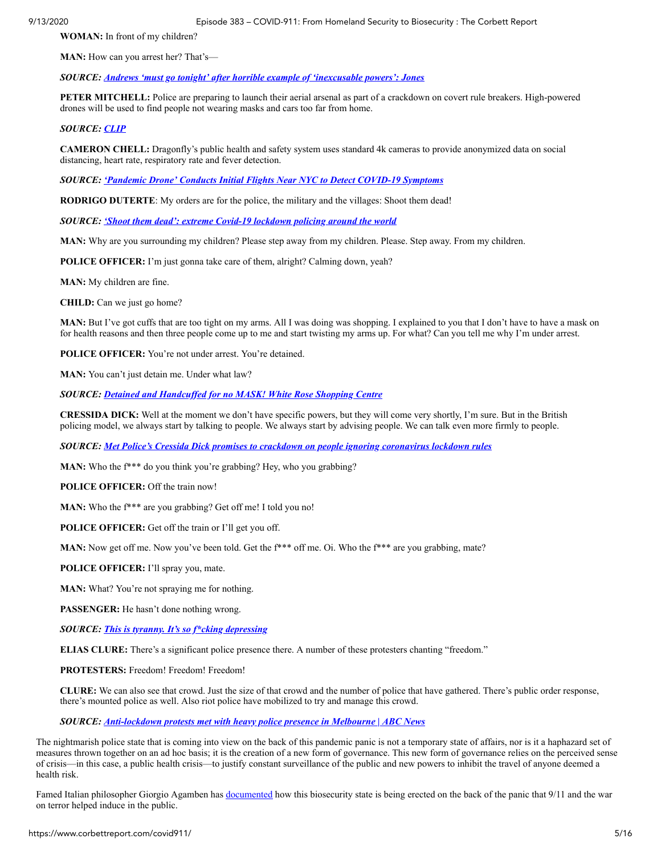**WOMAN:** In front of my children?

**MAN:** How can you arrest her? That's—

*SOURCE: [Andrews 'must go tonight' after horrible example of 'inexcusable powers': Jones](https://www.youtube.com/watch?v=hcHUGZGT9V4)*

**PETER MITCHELL:** Police are preparing to launch their aerial arsenal as part of a crackdown on covert rule breakers. High-powered drones will be used to find people not wearing masks and cars too far from home.

#### *SOURCE: [CLIP](https://twitter.com/7NewsMelbourne/status/1295277876665671681)*

**CAMERON CHELL:** Dragonfly's public health and safety system uses standard 4k cameras to provide anonymized data on social distancing, heart rate, respiratory rate and fever detection.

*SOURCE: ['Pandemic Drone' Conducts Initial Flights Near NYC to Detect COVID-19 Symptoms](https://www.youtube.com/watch?v=MabYf9o_2dE)*

**RODRIGO DUTERTE**: My orders are for the police, the military and the villages: Shoot them dead!

*SOURCE: ['Shoot them dead': extreme Covid-19 lockdown policing around the world](https://www.youtube.com/watch?v=Z8YfSMf7S6s)*

**MAN:** Why are you surrounding my children? Please step away from my children. Please. Step away. From my children.

**POLICE OFFICER:** I'm just gonna take care of them, alright? Calming down, yeah?

**MAN:** My children are fine.

**CHILD:** Can we just go home?

**MAN:** But I've got cuffs that are too tight on my arms. All I was doing was shopping. I explained to you that I don't have to have a mask on for health reasons and then three people come up to me and start twisting my arms up. For what? Can you tell me why I'm under arrest.

**POLICE OFFICER:** You're not under arrest. You're detained.

**MAN:** You can't just detain me. Under what law?

*SOURCE: [Detained and Handcuffed for no MASK! White Rose Shopping Centre](https://www.youtube.com/watch?v=FMUeb0_SgL4)*

**CRESSIDA DICK:** Well at the moment we don't have specific powers, but they will come very shortly, I'm sure. But in the British policing model, we always start by talking to people. We always start by advising people. We can talk even more firmly to people.

*SOURCE: [Met Police's Cressida Dick promises to crackdown on people ignoring coronavirus lockdown rules](https://www.youtube.com/watch?v=NN6gT5sAtOo)*

**MAN:** Who the  $f^{***}$  do you think you're grabbing? Hey, who you grabbing?

**POLICE OFFICER:** Off the train now!

**MAN:** Who the  $f^{***}$  are you grabbing? Get off me! I told you no!

**POLICE OFFICER:** Get off the train or I'll get you off.

**MAN:** Now get off me. Now you've been told. Get the f\*\*\* off me. Oi. Who the f\*\*\* are you grabbing, mate?

**POLICE OFFICER:** I'll spray you, mate.

**MAN:** What? You're not spraying me for nothing.

**PASSENGER:** He hasn't done nothing wrong.

*SOURCE: [This is tyranny. It's so f\\*cking depressing](https://twitter.com/RichieAllenShow/status/1301629299708104704)*

**ELIAS CLURE:** There's a significant police presence there. A number of these protesters chanting "freedom."

**PROTESTERS:** Freedom! Freedom! Freedom!

**CLURE:** We can also see that crowd. Just the size of that crowd and the number of police that have gathered. There's public order response, there's mounted police as well. Also riot police have mobilized to try and manage this crowd.

### *SOURCE: [Anti-lockdown protests met with heavy police presence in Melbourne | ABC News](https://www.youtube.com/watch?v=NVksuTZHwig)*

The nightmarish police state that is coming into view on the back of this pandemic panic is not a temporary state of affairs, nor is it a haphazard set of measures thrown together on an ad hoc basis; it is the creation of a new form of governance. This new form of governance relies on the perceived sense of crisis—in this case, a public health crisis—to justify constant surveillance of the public and new powers to inhibit the travel of anyone deemed a health risk.

Famed Italian philosopher Giorgio Agamben has [documented](http://positionspolitics.org/giorgio-agamben-the-state-of-exception-provoked-by-an-unmotivated-emergency/) how this biosecurity state is being erected on the back of the panic that 9/11 and the war on terror helped induce in the public.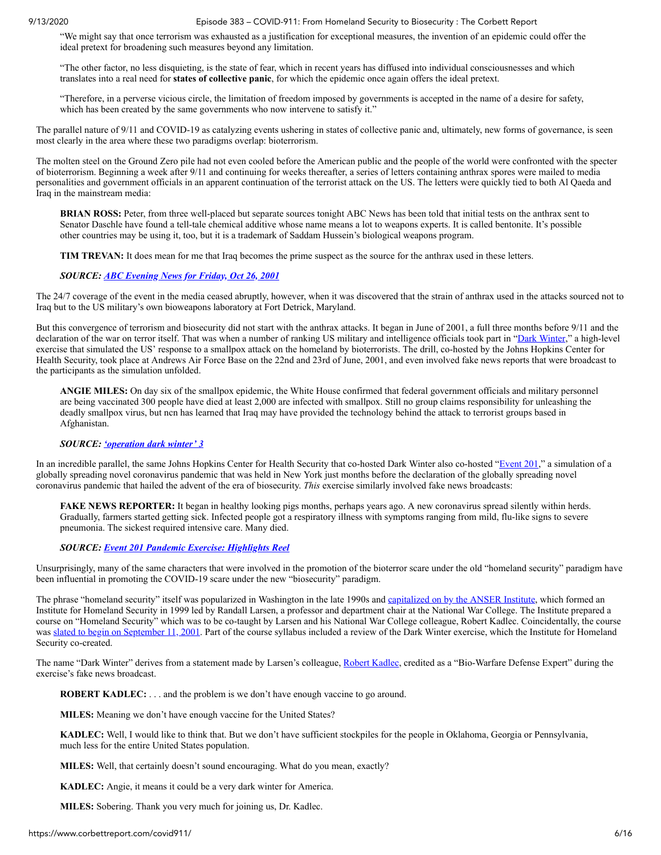"We might say that once terrorism was exhausted as a justification for exceptional measures, the invention of an epidemic could offer the ideal pretext for broadening such measures beyond any limitation.

"The other factor, no less disquieting, is the state of fear, which in recent years has diffused into individual consciousnesses and which translates into a real need for **states of collective panic**, for which the epidemic once again offers the ideal pretext.

"Therefore, in a perverse vicious circle, the limitation of freedom imposed by governments is accepted in the name of a desire for safety, which has been created by the same governments who now intervene to satisfy it."

The parallel nature of 9/11 and COVID-19 as catalyzing events ushering in states of collective panic and, ultimately, new forms of governance, is seen most clearly in the area where these two paradigms overlap: bioterrorism.

The molten steel on the Ground Zero pile had not even cooled before the American public and the people of the world were confronted with the specter of bioterrorism. Beginning a week after 9/11 and continuing for weeks thereafter, a series of letters containing anthrax spores were mailed to media personalities and government officials in an apparent continuation of the terrorist attack on the US. The letters were quickly tied to both Al Qaeda and Iraq in the mainstream media:

**BRIAN ROSS:** Peter, from three well-placed but separate sources tonight ABC News has been told that initial tests on the anthrax sent to Senator Daschle have found a tell-tale chemical additive whose name means a lot to weapons experts. It is called bentonite. It's possible other countries may be using it, too, but it is a trademark of Saddam Hussein's biological weapons program.

**TIM TREVAN:** It does mean for me that Iraq becomes the prime suspect as the source for the anthrax used in these letters.

## *SOURCE: [ABC Evening News for Friday, Oct 26, 2001](https://tvnews.vanderbilt.edu/broadcasts/639211)*

The 24/7 coverage of the event in the media ceased abruptly, however, when it was discovered that the strain of anthrax used in the attacks sourced not to Iraq but to the US military's own bioweapons laboratory at Fort Detrick, Maryland.

But this convergence of terrorism and biosecurity did not start with the anthrax attacks. It began in June of 2001, a full three months before 9/11 and the declaration of the war on terror itself. That was when a number of ranking US military and intelligence officials took part in ["Dark Winter,](https://www.centerforhealthsecurity.org/our-work/events-archive/2001_dark-winter/about.html)" a high-level exercise that simulated the US' response to a smallpox attack on the homeland by bioterrorists. The drill, co-hosted by the Johns Hopkins Center for Health Security, took place at Andrews Air Force Base on the 22nd and 23rd of June, 2001, and even involved fake news reports that were broadcast to the participants as the simulation unfolded.

**ANGIE MILES:** On day six of the smallpox epidemic, the White House confirmed that federal government officials and military personnel are being vaccinated 300 people have died at least 2,000 are infected with smallpox. Still no group claims responsibility for unleashing the deadly smallpox virus, but ncn has learned that Iraq may have provided the technology behind the attack to terrorist groups based in Afghanistan.

### *SOURCE: ['operation dark winter' 3](https://www.youtube.com/watch?v=BAkzNx3zFtQ)*

In an incredible parallel, the same Johns Hopkins Center for Health Security that co-hosted Dark Winter also co-hosted ["Event 201,](https://www.centerforhealthsecurity.org/event201/)" a simulation of a globally spreading novel coronavirus pandemic that was held in New York just months before the declaration of the globally spreading novel coronavirus pandemic that hailed the advent of the era of biosecurity. *This* exercise similarly involved fake news broadcasts:

**FAKE NEWS REPORTER:** It began in healthy looking pigs months, perhaps years ago. A new coronavirus spread silently within herds. Gradually, farmers started getting sick. Infected people got a respiratory illness with symptoms ranging from mild, flu-like signs to severe pneumonia. The sickest required intensive care. Many died.

## *SOURCE: [Event 201 Pandemic Exercise: Highlights Reel](https://www.youtube.com/watch?v=AoLw-Q8X174)*

Unsurprisingly, many of the same characters that were involved in the promotion of the bioterror scare under the old "homeland security" paradigm have been influential in promoting the COVID-19 scare under the new "biosecurity" paradigm.

The phrase "homeland security" itself was popularized in Washington in the late 1990s and [capitalized on by the ANSER Institute,](https://web.archive.org/web/20080216050607/http://www.onlinejournal.com/archive/06-29-02_Burns.pdf) which formed an Institute for Homeland Security in 1999 led by Randall Larsen, a professor and department chair at the National War College. The Institute prepared a course on "Homeland Security" which was to be co-taught by Larsen and his National War College colleague, Robert Kadlec. Coincidentally, the course was [slated to begin on September 11, 2001.](https://web.archive.org/web/20011002001900/http://www.homelandsecurity.org/ELECTIVE5994/index.cfm) Part of the course syllabus included a review of the Dark Winter exercise, which the Institute for Homeland Security co-created.

The name "Dark Winter" derives from a statement made by Larsen's colleague, [Robert Kadlec](https://unlimitedhangout.com/2020/05/investigative-series/head-of-the-hydra-the-rise-of-robert-kadlec/), credited as a "Bio-Warfare Defense Expert" during the exercise's fake news broadcast.

**ROBERT KADLEC:** . . . and the problem is we don't have enough vaccine to go around.

**MILES:** Meaning we don't have enough vaccine for the United States?

**KADLEC:** Well, I would like to think that. But we don't have sufficient stockpiles for the people in Oklahoma, Georgia or Pennsylvania, much less for the entire United States population.

**MILES:** Well, that certainly doesn't sound encouraging. What do you mean, exactly?

**KADLEC:** Angie, it means it could be a very dark winter for America.

**MILES:** Sobering. Thank you very much for joining us, Dr. Kadlec.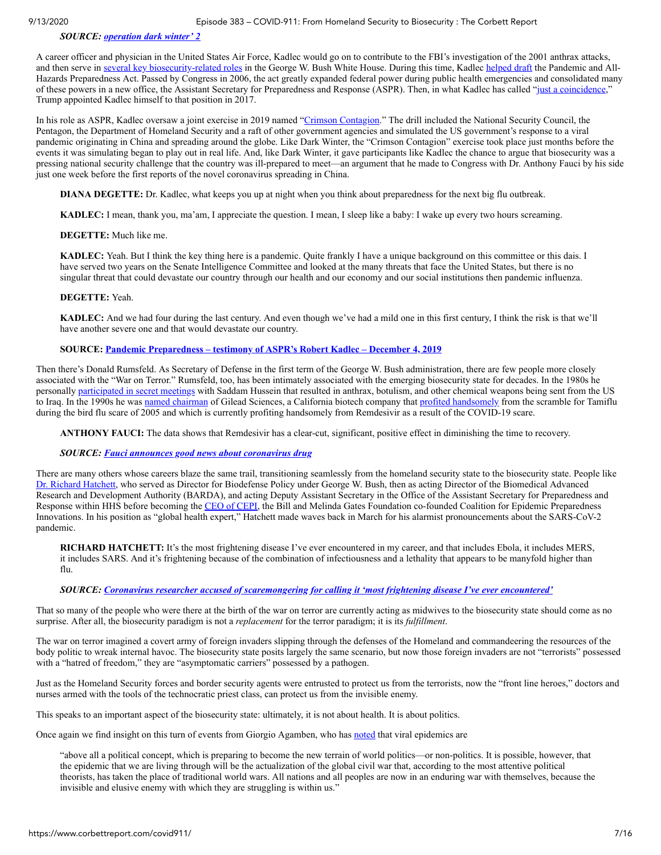## *SOURCE: [operation dark winter' 2](https://www.youtube.com/watch?v=VMd4z19IJU0)*

A career officer and physician in the United States Air Force, Kadlec would go on to contribute to the FBI's investigation of the 2001 anthrax attacks, and then serve in [several key biosecurity-related roles](https://www.phe.gov/newsroom/bio/Pages/kadlec.aspx) in the George W. Bush White House. During this time, Kadlec [helped draft](https://www.phe.gov/newsroom/bio/Pages/kadlec.aspx) the Pandemic and All-Hazards Preparedness Act. Passed by Congress in 2006, the act greatly expanded federal power during public health emergencies and consolidated many of these powers in a new office, the Assistant Secretary for Preparedness and Response (ASPR). Then, in what Kadlec has called "[just a coincidence,](https://www.acepnow.com/article/laying-the-groundwork-for-effective-disaster-response-an-interview-with-dr-robert-kadlec/?singlepage=1)" Trump appointed Kadlec himself to that position in 2017.

In his role as ASPR, Kadlec oversaw a joint exercise in 2019 named ["Crimson Contagion](https://archive.org/details/crimson-contagion-2019/page/n1/mode/2up)." The drill included the National Security Council, the Pentagon, the Department of Homeland Security and a raft of other government agencies and simulated the US government's response to a viral pandemic originating in China and spreading around the globe. Like Dark Winter, the "Crimson Contagion" exercise took place just months before the events it was simulating began to play out in real life. And, like Dark Winter, it gave participants like Kadlec the chance to argue that biosecurity was a pressing national security challenge that the country was ill-prepared to meet—an argument that he made to Congress with Dr. Anthony Fauci by his side just one week before the first reports of the novel coronavirus spreading in China.

**DIANA DEGETTE:** Dr. Kadlec, what keeps you up at night when you think about preparedness for the next big flu outbreak.

**KADLEC:** I mean, thank you, ma'am, I appreciate the question. I mean, I sleep like a baby: I wake up every two hours screaming.

**DEGETTE:** Much like me.

**KADLEC:** Yeah. But I think the key thing here is a pandemic. Quite frankly I have a unique background on this committee or this dais. I have served two years on the Senate Intelligence Committee and looked at the many threats that face the United States, but there is no singular threat that could devastate our country through our health and our economy and our social institutions then pandemic influenza.

**DEGETTE:** Yeah.

**KADLEC:** And we had four during the last century. And even though we've had a mild one in this first century, I think the risk is that we'll have another severe one and that would devastate our country.

## **SOURCE: [Pandemic Preparedness – testimony of ASPR's Robert Kadlec – December 4, 2019](https://www.youtube.com/watch?v=rA3oi3Z5_eY)**

Then there's Donald Rumsfeld. As Secretary of Defense in the first term of the George W. Bush administration, there are few people more closely associated with the "War on Terror." Rumsfeld, too, has been intimately associated with the emerging biosecurity state for decades. In the 1980s he personally [participated in secret meetings](https://www.dailymail.co.uk/news/article-153210/Rumsfeld-helped-Iraq-chemical-weapons.html) with Saddam Hussein that resulted in anthrax, botulism, and other chemical weapons being sent from the US to Iraq. In the 1990s he was [named chairman](https://www.gilead.com/news-and-press/press-room/press-releases/1997/1/donald-h-rumsfeld-named-chairman-of-gilead-sciences) of Gilead Sciences, a California biotech company that [profited handsomely](https://money.cnn.com/2005/10/31/news/newsmakers/fortune_rumsfeld/) from the scramble for Tamiflu during the bird flu scare of 2005 and which is currently profiting handsomely from Remdesivir as a result of the COVID-19 scare.

ANTHONY FAUCI: The data shows that Remdesivir has a clear-cut, significant, positive effect in diminishing the time to recovery.

#### *SOURCE: [Fauci announces good news about coronavirus drug](https://www.youtube.com/watch?v=SdqlNNAEju0)*

There are many others whose careers blaze the same trail, transitioning seamlessly from the homeland security state to the biosecurity state. People like [Dr. Richard Hatchett](http://www.ncmbc.us/wp-content/uploads/Dr.-Richard-Hatchett.pdf), who served as Director for Biodefense Policy under George W. Bush, then as acting Director of the Biomedical Advanced Research and Development Authority (BARDA), and acting Deputy Assistant Secretary in the Office of the Assistant Secretary for Preparedness and Response within HHS before becoming the [CEO of CEPI,](https://cepi.net/news_cepi/cepi-permanent-ceo/) the Bill and Melinda Gates Foundation co-founded Coalition for Epidemic Preparedness Innovations. In his position as "global health expert," Hatchett made waves back in March for his alarmist pronouncements about the SARS-CoV-2 pandemic.

**RICHARD HATCHETT:** It's the most frightening disease I've ever encountered in my career, and that includes Ebola, it includes MERS, it includes SARS. And it's frightening because of the combination of infectiousness and a lethality that appears to be manyfold higher than flu.

## *SOURCE: [Coronavirus researcher accused of scaremongering for calling it 'most frightening disease I've ever encountered'](https://www.indy100.com/article/coronavirus-doctor-scaremongering-risk-spanish-flu-death-rate-9384561)*

That so many of the people who were there at the birth of the war on terror are currently acting as midwives to the biosecurity state should come as no surprise. After all, the biosecurity paradigm is not a *replacement* for the terror paradigm; it is its *fulfillment*.

The war on terror imagined a covert army of foreign invaders slipping through the defenses of the Homeland and commandeering the resources of the body politic to wreak internal havoc. The biosecurity state posits largely the same scenario, but now those foreign invaders are not "terrorists" possessed with a "hatred of freedom," they are "asymptomatic carriers" possessed by a pathogen.

Just as the Homeland Security forces and border security agents were entrusted to protect us from the terrorists, now the "front line heroes," doctors and nurses armed with the tools of the technocratic priest class, can protect us from the invisible enemy.

This speaks to an important aspect of the biosecurity state: ultimately, it is not about health. It is about politics.

Once again we find insight on this turn of events from Giorgio Agamben, who has [noted](https://itself.blog/2020/05/02/giorgio-agamben-medicine-as-religion/) that viral epidemics are

"above all a political concept, which is preparing to become the new terrain of world politics—or non-politics. It is possible, however, that the epidemic that we are living through will be the actualization of the global civil war that, according to the most attentive political theorists, has taken the place of traditional world wars. All nations and all peoples are now in an enduring war with themselves, because the invisible and elusive enemy with which they are struggling is within us."